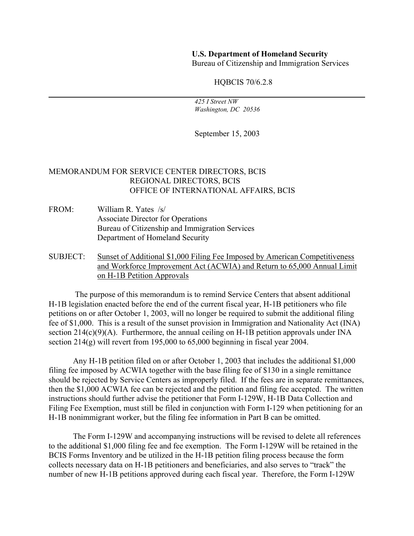## **U.S. Department of Homeland Security**

Bureau of Citizenship and Immigration Services

HQBCIS 70/6.2.8

 *425 I Street NW Washington, DC 20536* 

September 15, 2003

## MEMORANDUM FOR SERVICE CENTER DIRECTORS, BCIS REGIONAL DIRECTORS, BCIS OFFICE OF INTERNATIONAL AFFAIRS, BCIS

- FROM: William R. Yates /s/ Associate Director for Operations Bureau of Citizenship and Immigration Services Department of Homeland Security
- SUBJECT: Sunset of Additional \$1,000 Filing Fee Imposed by American Competitiveness and Workforce Improvement Act (ACWIA) and Return to 65,000 Annual Limit on H-1B Petition Approvals

 The purpose of this memorandum is to remind Service Centers that absent additional H-1B legislation enacted before the end of the current fiscal year, H-1B petitioners who file petitions on or after October 1, 2003, will no longer be required to submit the additional filing fee of \$1,000. This is a result of the sunset provision in Immigration and Nationality Act (INA) section  $214(c)(9)(A)$ . Furthermore, the annual ceiling on H-1B petition approvals under INA section 214(g) will revert from 195,000 to 65,000 beginning in fiscal year 2004.

 Any H-1B petition filed on or after October 1, 2003 that includes the additional \$1,000 filing fee imposed by ACWIA together with the base filing fee of \$130 in a single remittance should be rejected by Service Centers as improperly filed. If the fees are in separate remittances, then the \$1,000 ACWIA fee can be rejected and the petition and filing fee accepted. The written instructions should further advise the petitioner that Form I-129W, H-1B Data Collection and Filing Fee Exemption, must still be filed in conjunction with Form I-129 when petitioning for an H-1B nonimmigrant worker, but the filing fee information in Part B can be omitted.

The Form I-129W and accompanying instructions will be revised to delete all references to the additional \$1,000 filing fee and fee exemption. The Form I-129W will be retained in the BCIS Forms Inventory and be utilized in the H-1B petition filing process because the form collects necessary data on H-1B petitioners and beneficiaries, and also serves to "track" the number of new H-1B petitions approved during each fiscal year. Therefore, the Form I-129W